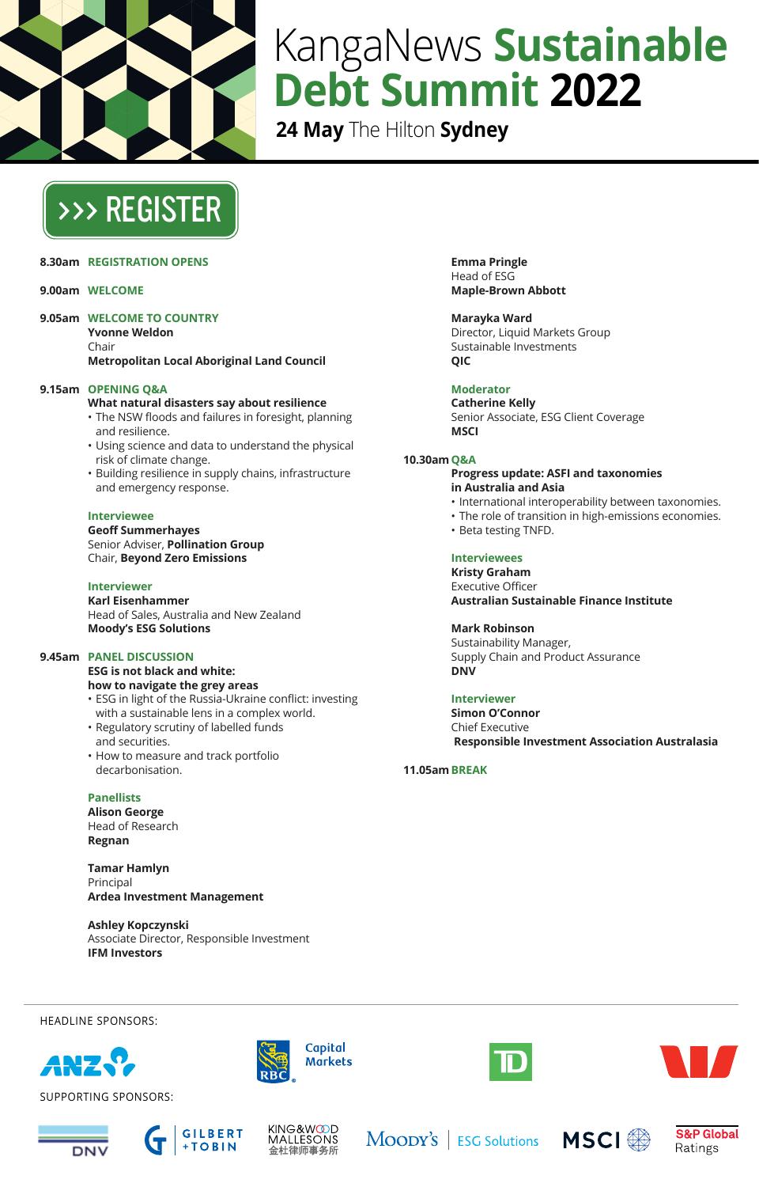

# KangaNews **Sustainable Debt Summit 2022**

**24 May** The Hilton **Sydney**

# [>>> REGISTER](https://kanganews.eventsair.com/2022-sds)

**8.30am REGISTRATION OPENS**

# **9.00am WELCOME**

**9.05am WELCOME TO COUNTRY**

**Yvonne Weldon**

Chair **Metropolitan Local Aboriginal Land Council**

## **9.15am OPENING Q&A**

#### **What natural disasters say about resilience**

- The NSW floods and failures in foresight, planning and resilience.
- Using science and data to understand the physical risk of climate change.
- Building resilience in supply chains, infrastructure and emergency response.

#### **Interviewee**

**Geoff Summerhayes** Senior Adviser, **Pollination Group** Chair, **Beyond Zero Emissions**

# **Interviewer**

**Karl Eisenhammer** Head of Sales, Australia and New Zealand **Moody's ESG Solutions**

# **9.45am PANEL DISCUSSION**

**ESG is not black and white: how to navigate the grey areas** 

- ESG in light of the Russia-Ukraine conflict: investing with a sustainable lens in a complex world.
- Regulatory scrutiny of labelled funds and securities.
- How to measure and track portfolio decarbonisation.

## **Panellists**

**Alison George** Head of Research **Regnan**

**Tamar Hamlyn** Principal **Ardea Investment Management**

**Ashley Kopczynski** Associate Director, Responsible Investment **IFM Investors**

**Emma Pringle** Head of ESG **Maple-Brown Abbott**

**Marayka Ward** Director, Liquid Markets Group Sustainable Investments **QIC**

# **Moderator**

**Catherine Kelly** Senior Associate, ESG Client Coverage **MSCI**

#### **10.30amQ&A**

#### **Progress update: ASFI and taxonomies in Australia and Asia**

- International interoperability between taxonomies.
- The role of transition in high-emissions economies.
- Beta testing TNFD.

# **Interviewees**

**Kristy Graham** Executive Officer **Australian Sustainable Finance Institute**

## **Mark Robinson**

Sustainability Manager, Supply Chain and Product Assurance **DNV**

# **Interviewer**

**Simon O'Connor** Chief Executive **Responsible Investment Association Australasia** 

**11.05amBREAK** 



HEADLINE SPONSORS:

SUPPORTING SPONSORS:







Capital **Markets** 

MOODY'S | ESG Solutions MSCI



**S&P Global** 

Ratings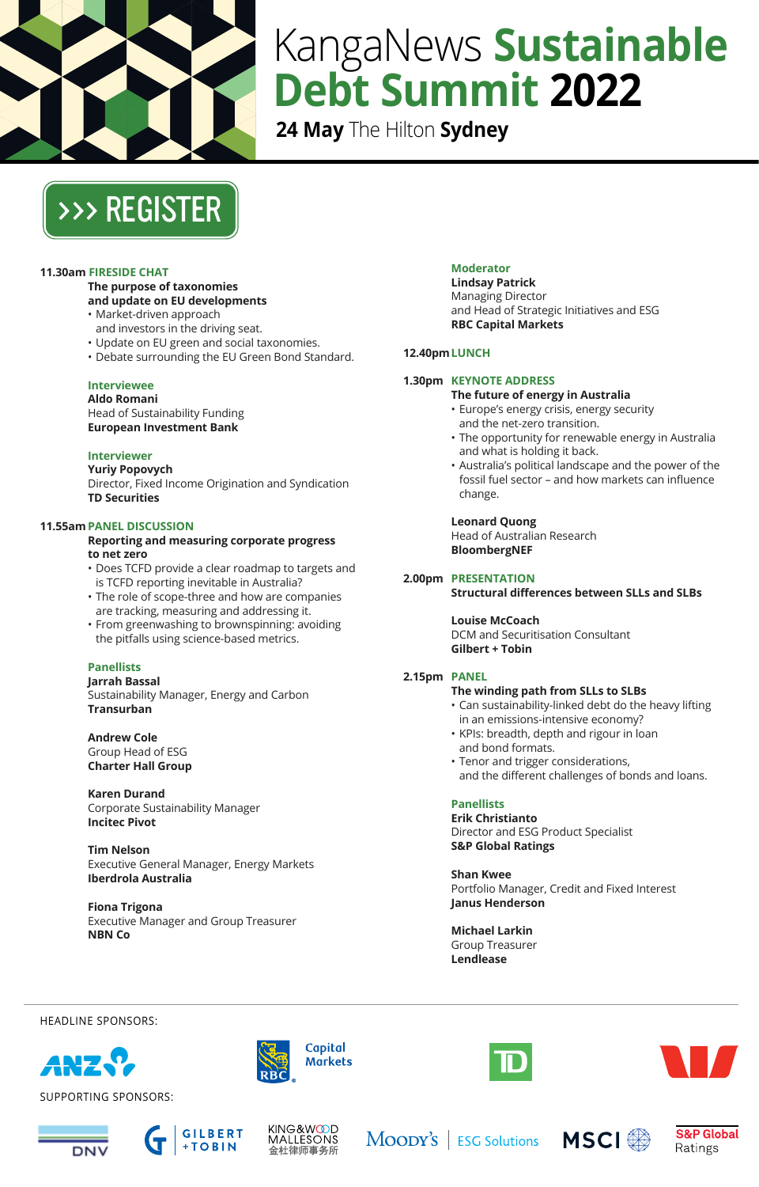

# KangaNews **Sustainable Debt Summit 2022**

**24 May** The Hilton **Sydney**



# **11.30am FIRESIDE CHAT**

#### **The purpose of taxonomies and update on EU developments**

- Market-driven approach
- and investors in the driving seat.
- Update on EU green and social taxonomies.
- Debate surrounding the EU Green Bond Standard.
- 

#### **Interviewee Aldo Romani**

Head of Sustainability Funding **European Investment Bank**

# **Interviewer**

**Yuriy Popovych** Director, Fixed Income Origination and Syndication **TD Securities**

# **11.55amPANEL DISCUSSION**

**Reporting and measuring corporate progress to net zero**

- Does TCFD provide a clear roadmap to targets and is TCFD reporting inevitable in Australia?
- The role of scope-three and how are companies are tracking, measuring and addressing it.
- From greenwashing to brownspinning: avoiding the pitfalls using science-based metrics.

## **Panellists**

**Jarrah Bassal** Sustainability Manager, Energy and Carbon **Transurban**

**Andrew Cole** Group Head of ESG **Charter Hall Group**

**Karen Durand** Corporate Sustainability Manager **Incitec Pivot**

**Tim Nelson** Executive General Manager, Energy Markets **Iberdrola Australia**

**Fiona Trigona** Executive Manager and Group Treasurer **NBN Co**

# **Moderator**

**Lindsay Patrick** Managing Director and Head of Strategic Initiatives and ESG **RBC Capital Markets**

#### **12.40pmLUNCH**

#### **1.30pm KEYNOTE ADDRESS**

#### **The future of energy in Australia**

- Europe's energy crisis, energy security and the net-zero transition.
- The opportunity for renewable energy in Australia and what is holding it back.
- Australia's political landscape and the power of the fossil fuel sector – and how markets can influence change.

#### **Leonard Quong**

Head of Australian Research **BloombergNEF**

# **2.00pm PRESENTATION**

#### **Structural differences between SLLs and SLBs**

**Louise McCoach** 

DCM and Securitisation Consultant **Gilbert + Tobin**

## **2.15pm PANEL**

# **The winding path from SLLs to SLBs**

- Can sustainability-linked debt do the heavy lifting in an emissions-intensive economy?
- KPIs: breadth, depth and rigour in loan and bond formats.
- Tenor and trigger considerations, and the different challenges of bonds and loans.

# **Panellists**

**Erik Christianto** Director and ESG Product Specialist **S&P Global Ratings**

**Shan Kwee** Portfolio Manager, Credit and Fixed Interest **Janus Henderson**

**Michael Larkin** Group Treasurer **Lendlease**

HEADLINE SPONSORS:



SUPPORTING SPONSORS:







Capital **Markets** 

MOODY'S | ESG Solutions MSCI